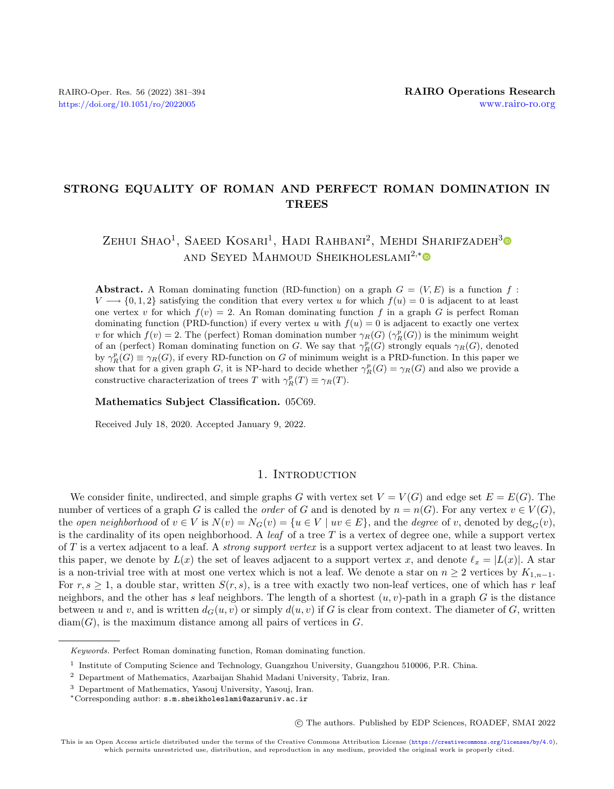## STRONG EQUALITY OF ROMAN AND PERFECT ROMAN DOMINATION IN **TREES**

## $\text{Zehui Shao}^1$ , Saeed Kosari<sup>1</sup>, Hadi Rahbani<sup>2</sup>, Mehdi Sharifzadeh<sup>[3](https://orcid.org/0000-0002-9046-9771)</sup> AND SEYED MAHMOUD SHEIKHOLESLAMI<sup>2,[\\*](https://orcid.org/0000-0003-2298-4744)</sup>

**Abstract.** A Roman dominating function (RD-function) on a graph  $G = (V, E)$  is a function f:  $V \longrightarrow \{0, 1, 2\}$  satisfying the condition that every vertex u for which  $f(u) = 0$  is adjacent to at least one vertex v for which  $f(v) = 2$ . An Roman dominating function f in a graph G is perfect Roman dominating function (PRD-function) if every vertex u with  $f(u) = 0$  is adjacent to exactly one vertex v for which  $f(v) = 2$ . The (perfect) Roman domination number  $\gamma_R(G)$  ( $\gamma_R^p(G)$ ) is the minimum weight of an (perfect) Roman dominating function on G. We say that  $\gamma_R^p(G)$  strongly equals  $\gamma_R(G)$ , denoted by  $\gamma_R^p(G) \equiv \gamma_R(G)$ , if every RD-function on G of minimum weight is a PRD-function. In this paper we show that for a given graph G, it is NP-hard to decide whether  $\gamma_R^p(G) = \gamma_R(G)$  and also we provide a constructive characterization of trees T with  $\gamma_R^p(T) \equiv \gamma_R(T)$ .

Mathematics Subject Classification. 05C69.

Received July 18, 2020. Accepted January 9, 2022.

## 1. INTRODUCTION

We consider finite, undirected, and simple graphs G with vertex set  $V = V(G)$  and edge set  $E = E(G)$ . The number of vertices of a graph G is called the *order* of G and is denoted by  $n = n(G)$ . For any vertex  $v \in V(G)$ , the open neighborhood of  $v \in V$  is  $N(v) = N_G(v) = \{u \in V \mid uv \in E\}$ , and the degree of v, denoted by  $\deg_G(v)$ , is the cardinality of its open neighborhood. A *leaf* of a tree  $T$  is a vertex of degree one, while a support vertex of  $T$  is a vertex adjacent to a leaf. A *strong support vertex* is a support vertex adjacent to at least two leaves. In this paper, we denote by  $L(x)$  the set of leaves adjacent to a support vertex x, and denote  $\ell_x = |L(x)|$ . A star is a non-trivial tree with at most one vertex which is not a leaf. We denote a star on  $n \geq 2$  vertices by  $K_{1,n-1}$ . For  $r, s \geq 1$ , a double star, written  $S(r, s)$ , is a tree with exactly two non-leaf vertices, one of which has r leaf neighbors, and the other has s leaf neighbors. The length of a shortest  $(u, v)$ -path in a graph  $G$  is the distance between u and v, and is written  $d_G(u, v)$  or simply  $d(u, v)$  if G is clear from context. The diameter of G, written  $diam(G)$ , is the maximum distance among all pairs of vertices in  $G$ .

○c The authors. Published by EDP Sciences, ROADEF, SMAI 2022

Keywords. Perfect Roman dominating function, Roman dominating function.

<sup>&</sup>lt;sup>1</sup> Institute of Computing Science and Technology, Guangzhou University, Guangzhou 510006, P.R. China.

<sup>2</sup> Department of Mathematics, Azarbaijan Shahid Madani University, Tabriz, Iran.

<sup>3</sup> Department of Mathematics, Yasouj University, Yasouj, Iran.

<sup>\*</sup>Corresponding author: [s.m.sheikholeslami@azaruniv.ac.ir](mailto:s.m.sheikholeslami@azaruniv.ac.ir)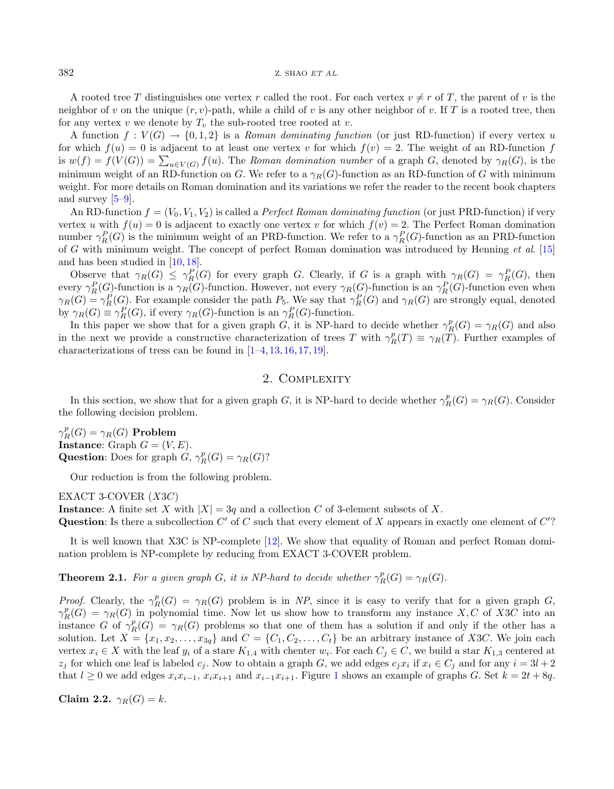A rooted tree T distinguishes one vertex r called the root. For each vertex  $v \neq r$  of T, the parent of v is the neighbor of v on the unique  $(r, v)$ -path, while a child of v is any other neighbor of v. If T is a rooted tree, then for any vertex v we denote by  $T_v$  the sub-rooted tree rooted at v.

A function  $f: V(G) \to \{0,1,2\}$  is a Roman dominating function (or just RD-function) if every vertex u for which  $f(u) = 0$  is adjacent to at least one vertex v for which  $f(v) = 2$ . The weight of an RD-function f is  $w(f) = f(V(G)) = \sum_{u \in V(G)} f(u)$ . The Roman domination number of a graph G, denoted by  $\gamma_R(G)$ , is the minimum weight of an RD-function on G. We refer to a  $\gamma_R(G)$ -function as an RD-function of G with minimum weight. For more details on Roman domination and its variations we refer the reader to the recent book chapters and survey [\[5](#page-12-0)[–9\]](#page-13-0).

An RD-function  $f = (V_0, V_1, V_2)$  is called a *Perfect Roman dominating function* (or just PRD-function) if very vertex u with  $f(u) = 0$  is adjacent to exactly one vertex v for which  $f(v) = 2$ . The Perfect Roman domination number  $\gamma_R^P(G)$  is the minimum weight of an PRD-function. We refer to a  $\gamma_R^P(G)$ -function as an PRD-function of G with minimum weight. The concept of perfect Roman domination was introduced by Henning et al. [\[15\]](#page-13-1) and has been studied in [\[10,](#page-13-2) [18\]](#page-13-3).

Observe that  $\gamma_R(G) \leq \gamma_R^P(G)$  for every graph G. Clearly, if G is a graph with  $\gamma_R(G) = \gamma_R^P(G)$ , then every  $\gamma_R^P(G)$ -function is a  $\gamma_R(G)$ -function. However, not every  $\gamma_R(G)$ -function is an  $\gamma_R^P(G)$ -function even when  $\gamma_R(G) = \gamma_R^P(G)$ . For example consider the path  $P_5$ . We say that  $\gamma_R^P(G)$  and  $\gamma_R(G)$  are strongly equal, denoted by  $\gamma_R(G) \equiv \gamma_R^P(G)$ , if every  $\gamma_R(G)$ -function is an  $\gamma_R^P(G)$ -function.

In this paper we show that for a given graph G, it is NP-hard to decide whether  $\gamma_R^p(G) = \gamma_R(G)$  and also in the next we provide a constructive characterization of trees T with  $\gamma_R^p(T) \equiv \gamma_R(T)$ . Further examples of characterizations of tress can be found in [\[1](#page-12-1)[–4,](#page-12-2) [13,](#page-13-4) [16,](#page-13-5) [17,](#page-13-6) [19\]](#page-13-7).

## 2. Complexity

In this section, we show that for a given graph G, it is NP-hard to decide whether  $\gamma_R^p(G) = \gamma_R(G)$ . Consider the following decision problem.

 $\gamma_R^p(G) = \gamma_R(G)$  Problem Instance: Graph  $G = (V, E)$ . **Question:** Does for graph  $G$ ,  $\gamma_R^p(G) = \gamma_R(G)$ ?

Our reduction is from the following problem.

EXACT 3-COVER  $(X3C)$ 

Instance: A finite set X with  $|X| = 3q$  and a collection C of 3-element subsets of X.

Question: Is there a subcollection  $C'$  of  $C$  such that every element of  $X$  appears in exactly one element of  $C'$ ?

It is well known that X3C is NP-complete [\[12\]](#page-13-8). We show that equality of Roman and perfect Roman domination problem is NP-complete by reducing from EXACT 3-COVER problem.

<span id="page-1-0"></span>**Theorem 2.1.** For a given graph G, it is NP-hard to decide whether  $\gamma_R^p(G) = \gamma_R(G)$ .

*Proof.* Clearly, the  $\gamma_R^p(G) = \gamma_R(G)$  problem is in NP, since it is easy to verify that for a given graph G,  $\gamma_R^p(G) = \gamma_R(G)$  in polynomial time. Now let us show how to transform any instance X, C of X3C into an instance G of  $\gamma_R^p(G) = \gamma_R(G)$  problems so that one of them has a solution if and only if the other has a solution. Let  $X = \{x_1, x_2, \ldots, x_{3q}\}\$ and  $C = \{C_1, C_2, \ldots, C_t\}$  be an arbitrary instance of X3C. We join each vertex  $x_i \in X$  with the leaf  $y_i$  of a stare  $K_{1,4}$  with chenter  $w_i$ . For each  $C_j \in C$ , we build a star  $K_{1,3}$  centered at  $z_j$  for which one leaf is labeled  $c_j$ . Now to obtain a graph G, we add edges  $c_j x_i$  if  $x_i \in C_j$  and for any  $i = 3l + 2$ that  $l \geq 0$  we add edges  $x_i x_{i-1}, x_i x_{i+1}$  $x_i x_{i-1}, x_i x_{i+1}$  $x_i x_{i-1}, x_i x_{i+1}$  and  $x_{i-1} x_{i+1}$ . Figure 1 shows an example of graphs G. Set  $k = 2t + 8q$ .

Claim 2.2.  $\gamma_R(G) = k$ .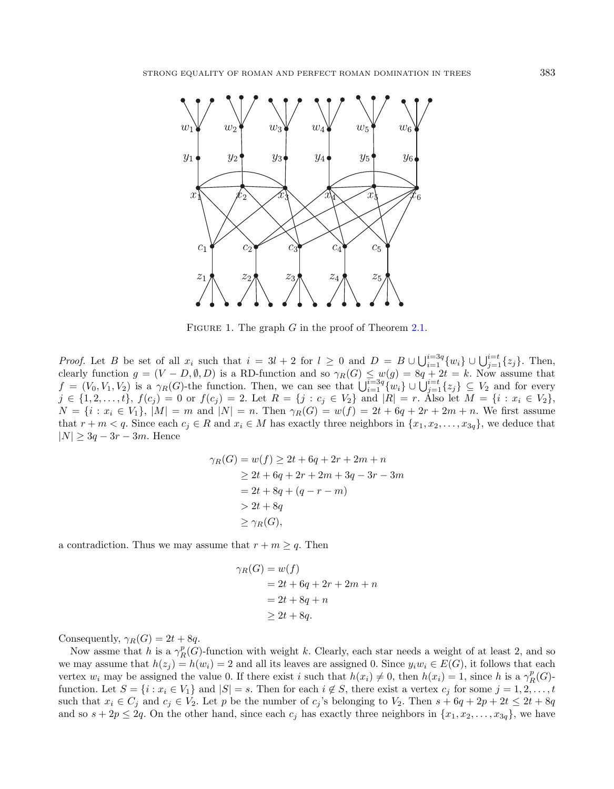<span id="page-2-0"></span>

FIGURE 1. The graph  $G$  in the proof of Theorem [2.1.](#page-1-0)

*Proof.* Let B be set of all  $x_i$  such that  $i = 3l + 2$  for  $l \geq 0$  and  $D = B \cup \bigcup_{i=1}^{i=3q} \{w_i\} \cup \bigcup_{j=1}^{i=t} \{z_j\}$ . Then, clearly function  $g = (V - D, \emptyset, D)$  is a RD-function and so  $\gamma_R(G) \leq w(g) = 8q + 2t = k$ . Now assume that  $f = (V_0, V_1, V_2)$  is a  $\gamma_R(G)$ -the function. Then, we can see that  $\bigcup_{i=1}^{i=3q} \{w_i\} \cup \bigcup_{j=1}^{i=t} \{z_j\} \subseteq V_2$  and for every  $j \in \{1, 2, \ldots, t\}, f(c_j) = 0 \text{ or } f(c_j) = 2.$  Let  $R = \{j : c_j \in V_2\}$  and  $|R| = r$ . Also let  $M = \{i : x_i \in V_2\},\$  $N = \{ i : x_i \in V_1 \}, |M| = m$  and  $|N| = n$ . Then  $\gamma_R(G) = w(f) = 2t + 6q + 2r + 2m + n$ . We first assume that  $r + m < q$ . Since each  $c_j \in R$  and  $x_i \in M$  has exactly three neighbors in  $\{x_1, x_2, \ldots, x_{3q}\}$ , we deduce that  $|N| \geq 3q - 3r - 3m$ . Hence

$$
\gamma_R(G) = w(f) \ge 2t + 6q + 2r + 2m + n
$$
  
\n
$$
\ge 2t + 6q + 2r + 2m + 3q - 3r - 3m
$$
  
\n
$$
= 2t + 8q + (q - r - m)
$$
  
\n
$$
> 2t + 8q
$$
  
\n
$$
\ge \gamma_R(G),
$$

a contradiction. Thus we may assume that  $r + m \geq q$ . Then

$$
\gamma_R(G) = w(f)
$$
  
= 2t + 6q + 2r + 2m + n  
= 2t + 8q + n  

$$
\geq 2t + 8q.
$$

Consequently,  $\gamma_R(G) = 2t + 8q$ .

Now assme that h is a  $\gamma_R^p(G)$ -function with weight k. Clearly, each star needs a weight of at least 2, and so we may assume that  $h(z_i) = h(w_i) = 2$  and all its leaves are assigned 0. Since  $y_i w_i \in E(G)$ , it follows that each vertex  $w_i$  may be assigned the value 0. If there exist i such that  $h(x_i) \neq 0$ , then  $h(x_i) = 1$ , since h is a  $\gamma_R^p(G)$ function. Let  $S = \{i : x_i \in V_1\}$  and  $|S| = s$ . Then for each  $i \notin S$ , there exist a vertex  $c_j$  for some  $j = 1, 2, ..., t$ such that  $x_i \in C_j$  and  $c_j \in V_2$ . Let p be the number of  $c_j$ 's belonging to  $V_2$ . Then  $s + 6q + 2p + 2t \leq 2t + 8q$ and so  $s + 2p \le 2q$ . On the other hand, since each  $c_j$  has exactly three neighbors in  $\{x_1, x_2, \ldots, x_{3q}\}$ , we have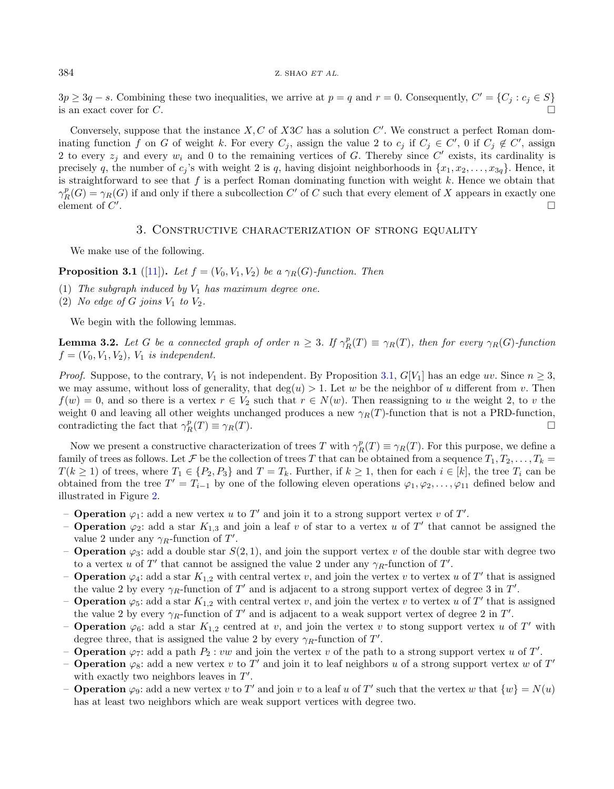$3p \geq 3q - s$ . Combining these two inequalities, we arrive at  $p = q$  and  $r = 0$ . Consequently,  $C' = \{C_j : c_j \in S\}$ is an exact cover for C.

Conversely, suppose that the instance  $X, C$  of  $X3C$  has a solution  $C'$ . We construct a perfect Roman dominating function f on G of weight k. For every  $C_j$ , assign the value 2 to  $c_j$  if  $C_j \in C'$ , 0 if  $C_j \notin C'$ , assign 2 to every  $z_j$  and every  $w_i$  and 0 to the remaining vertices of G. Thereby since C' exists, its cardinality is precisely q, the number of  $c_j$ 's with weight 2 is q, having disjoint neighborhoods in  $\{x_1, x_2, \ldots, x_{3q}\}$ . Hence, it is straightforward to see that  $f$  is a perfect Roman dominating function with weight  $k$ . Hence we obtain that  $\gamma_R^p(G) = \gamma_R(G)$  if and only if there a subcollection C' of C such that every element of X appears in exactly one element of  $C'$ .

## 3. Constructive characterization of strong equality

We make use of the following.

## <span id="page-3-0"></span>**Proposition 3.1** ([\[11\]](#page-13-9)). Let  $f = (V_0, V_1, V_2)$  be a  $\gamma_R(G)$ -function. Then

- (1) The subgraph induced by  $V_1$  has maximum degree one.
- (2) No edge of G joins  $V_1$  to  $V_2$ .

We begin with the following lemmas.

**Lemma 3.2.** Let G be a connected graph of order  $n \geq 3$ . If  $\gamma_R^p(T) \equiv \gamma_R(T)$ , then for every  $\gamma_R(G)$ -function  $f = (V_0, V_1, V_2), V_1$  is independent.

*Proof.* Suppose, to the contrary,  $V_1$  is not independent. By Proposition [3.1,](#page-3-0)  $G[V_1]$  has an edge wv. Since  $n \geq 3$ , we may assume, without loss of generality, that deg( $u$ ) > 1. Let  $w$  be the neighbor of  $u$  different from  $v$ . Then  $f(w) = 0$ , and so there is a vertex  $r \in V_2$  such that  $r \in N(w)$ . Then reassigning to u the weight 2, to v the weight 0 and leaving all other weights unchanged produces a new  $\gamma_R(T)$ -function that is not a PRD-function, contradicting the fact that  $\gamma_R^p(T) \equiv \gamma_R(T)$ .

Now we present a constructive characterization of trees T with  $\gamma_R^p(T) \equiv \gamma_R(T)$ . For this purpose, we define a family of trees as follows. Let F be the collection of trees T that can be obtained from a sequence  $T_1, T_2, \ldots, T_k =$  $T(k \geq 1)$  of trees, where  $T_1 \in \{P_2, P_3\}$  and  $T = T_k$ . Further, if  $k \geq 1$ , then for each  $i \in [k]$ , the tree  $T_i$  can be obtained from the tree  $T' = T_{i-1}$  by one of the following eleven operations  $\varphi_1, \varphi_2, \ldots, \varphi_{11}$  defined below and illustrated in Figure [2.](#page-4-0)

- **Operation**  $\varphi_1$ : add a new vertex u to T' and join it to a strong support vertex v of T'.
- **Operation**  $\varphi_2$ : add a star  $K_{1,3}$  and join a leaf v of star to a vertex u of T' that cannot be assigned the value 2 under any  $\gamma_R$ -function of T'.
- **Operation**  $\varphi_3$ : add a double star  $S(2, 1)$ , and join the support vertex v of the double star with degree two to a vertex u of T' that cannot be assigned the value 2 under any  $\gamma_R$ -function of T'.
- **Operation**  $\varphi_4$ : add a star  $K_{1,2}$  with central vertex v, and join the vertex v to vertex u of T' that is assigned the value 2 by every  $\gamma_R$ -function of T' and is adjacent to a strong support vertex of degree 3 in T'.
- **Operation**  $\varphi_5$ : add a star  $K_{1,2}$  with central vertex v, and join the vertex v to vertex u of T' that is assigned the value 2 by every  $\gamma_R$ -function of T' and is adjacent to a weak support vertex of degree 2 in T'.
- **Operation**  $\varphi_6$ : add a star  $K_{1,2}$  centred at v, and join the vertex v to stong support vertex u of T' with degree three, that is assigned the value 2 by every  $\gamma_R$ -function of T'.
- **Operation**  $\varphi_7$ : add a path  $P_2$ :  $vw$  and join the vertex  $v$  of the path to a strong support vertex  $u$  of  $T'$ .
- Operation  $\varphi_8$ : add a new vertex v to T' and join it to leaf neighbors u of a strong support vertex w of T' with exactly two neighbors leaves in  $T'$ .
- **Operation**  $\varphi_9$ : add a new vertex v to T' and join v to a leaf u of T' such that the vertex w that  $\{w\} = N(u)$ has at least two neighbors which are weak support vertices with degree two.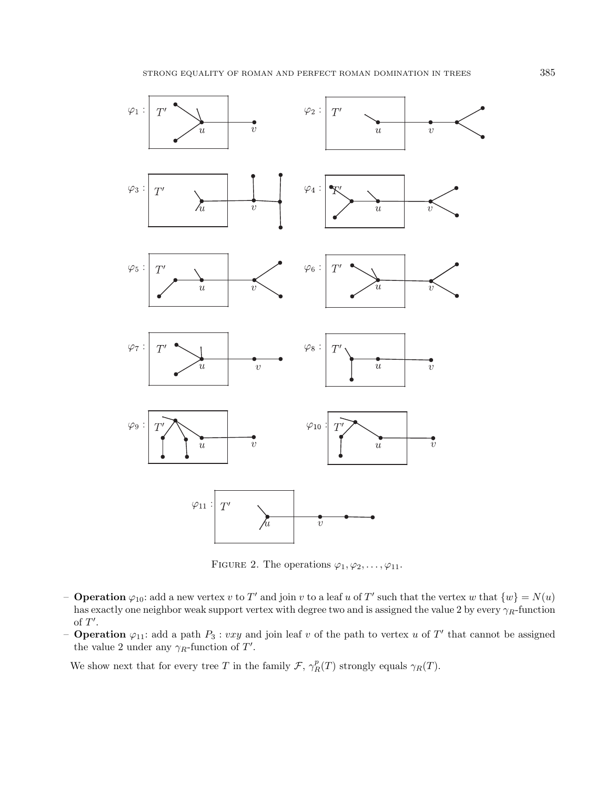

<span id="page-4-0"></span>FIGURE 2. The operations  $\varphi_1, \varphi_2, \ldots, \varphi_{11}$ .

- **Operation**  $\varphi_{10}$ : add a new vertex v to T' and join v to a leaf u of T' such that the vertex w that  $\{w\} = N(u)$ has exactly one neighbor weak support vertex with degree two and is assigned the value 2 by every  $\gamma_R$ -function of  $T'$ .
- **Operation**  $\varphi_{11}$ : add a path  $P_3$ : vxy and join leaf v of the path to vertex u of T' that cannot be assigned the value 2 under any  $\gamma_R$ -function of T'.

We show next that for every tree T in the family  $\mathcal{F}, \gamma_R^p(T)$  strongly equals  $\gamma_R(T)$ .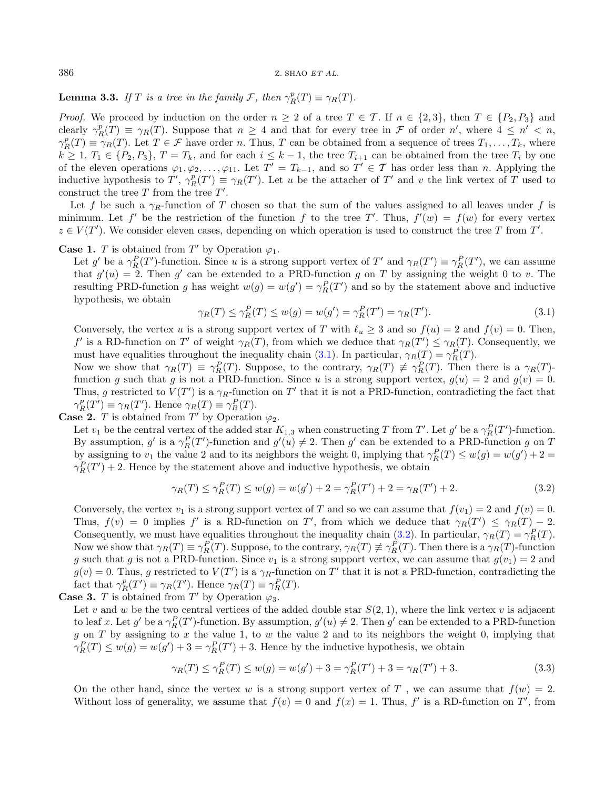<span id="page-5-3"></span>**Lemma 3.3.** If T is a tree in the family F, then  $\gamma_R^p(T) \equiv \gamma_R(T)$ .

<span id="page-5-0"></span>*Proof.* We proceed by induction on the order  $n \geq 2$  of a tree  $T \in \mathcal{T}$ . If  $n \in \{2,3\}$ , then  $T \in \{P_2, P_3\}$  and clearly  $\gamma_R^p(T) \equiv \gamma_R(T)$ . Suppose that  $n \geq 4$  and that for every tree in  $\mathcal F$  of order  $n'$ , where  $4 \leq n' < n$ ,  $\gamma_R^p(T) \equiv \gamma_R(T)$ . Let  $T \in \mathcal{F}$  have order n. Thus, T can be obtained from a sequence of trees  $T_1, \ldots, T_k$ , where  $k \geq 1, T_1 \in \{P_2, P_3\}, T = T_k$ , and for each  $i \leq k-1$ , the tree  $T_{i+1}$  can be obtained from the tree  $T_i$  by one of the eleven operations  $\varphi_1, \varphi_2, \ldots, \varphi_{11}$ . Let  $T' = T_{k-1}$ , and so  $T' \in \mathcal{T}$  has order less than n. Applying the inductive hypothesis to  $T'$ ,  $\gamma_R^p(T') \equiv \gamma_R(T')$ . Let u be the attacher of  $T'$  and v the link vertex of  $T$  used to construct the tree  $T$  from the tree  $T'$ .

Let f be such a  $\gamma_R$ -function of T chosen so that the sum of the values assigned to all leaves under f is minimum. Let f' be the restriction of the function f to the tree T'. Thus,  $f'(w) = f(w)$  for every vertex  $z \in V(T')$ . We consider eleven cases, depending on which operation is used to construct the tree T from T'.

## **Case 1.** *T* is obtained from  $T'$  by Operation  $\varphi_1$ .

Let g' be a  $\gamma_R^P(T')$ -function. Since u is a strong support vertex of T' and  $\gamma_R(T') \equiv \gamma_R^P(T')$ , we can assume that  $g'(u) = 2$ . Then g' can be extended to a PRD-function g on T by assigning the weight 0 to v. The resulting PRD-function g has weight  $w(g) = w(g') = \gamma_R^P(T')$  and so by the statement above and inductive hypothesis, we obtain

<span id="page-5-1"></span>
$$
\gamma_R(T) \le \gamma_R^P(T) \le w(g) = w(g') = \gamma_R^P(T') = \gamma_R(T'). \tag{3.1}
$$

Conversely, the vertex u is a strong support vertex of T with  $\ell_u \geq 3$  and so  $f(u) = 2$  and  $f(v) = 0$ . Then, f' is a RD-function on T' of weight  $\gamma_R(T)$ , from which we deduce that  $\gamma_R(T') \leq \gamma_R(T)$ . Consequently, we must have equalities throughout the inequality chain [\(3.1\)](#page-5-0). In particular,  $\gamma_R(T) = \gamma_R^P(T)$ .

Now we show that  $\gamma_R(T) \equiv \gamma_R^P(T)$ . Suppose, to the contrary,  $\gamma_R(T) \not\equiv \gamma_R^P(T)$ . Then there is a  $\gamma_R(T)$ function g such that g is not a PRD-function. Since u is a strong support vertex,  $g(u) = 2$  and  $g(v) = 0$ . Thus, g restricted to  $V(T')$  is a  $\gamma_R$ -function on T' that it is not a PRD-function, contradicting the fact that  $\gamma_R^p(T') \equiv \gamma_R(T')$ . Hence  $\gamma_R(T) \equiv \gamma_R^P(T)$ .

**Case 2.** *T* is obtained from  $T'$  by Operation  $\varphi_2$ .

Let  $v_1$  be the central vertex of the added star  $K_{1,3}$  when constructing T from T'. Let g' be a  $\gamma_R^P(T')$ -function. By assumption, g' is a  $\gamma_R^P(T')$ -function and  $g'(u) \neq 2$ . Then g' can be extended to a PRD-function g on T by assigning to  $v_1$  the value 2 and to its neighbors the weight 0, implying that  $\gamma_R^P(T) \leq w(g) = w(g') + 2 =$  $\gamma_R^P(T') + 2$ . Hence by the statement above and inductive hypothesis, we obtain

<span id="page-5-2"></span>
$$
\gamma_R(T) \le \gamma_R^P(T) \le w(g) = w(g') + 2 = \gamma_R^P(T') + 2 = \gamma_R(T') + 2. \tag{3.2}
$$

Conversely, the vertex  $v_1$  is a strong support vertex of T and so we can assume that  $f(v_1) = 2$  and  $f(v) = 0$ . Thus,  $f(v) = 0$  implies f' is a RD-function on T', from which we deduce that  $\gamma_R(T') \leq \gamma_R(T) - 2$ . Consequently, we must have equalities throughout the inequality chain [\(3.2\)](#page-5-1). In particular,  $\gamma_R(T) = \gamma_R^P(T)$ . Now we show that  $\gamma_R(T) \equiv \gamma_R^P(T)$ . Suppose, to the contrary,  $\gamma_R(T) \not\equiv \gamma_R^P(T)$ . Then there is a  $\gamma_R(T)$ -function g such that g is not a PRD-function. Since  $v_1$  is a strong support vertex, we can assume that  $g(v_1) = 2$  and  $g(v) = 0$ . Thus, g restricted to  $V(T')$  is a  $\gamma_R$ -function on T' that it is not a PRD-function, contradicting the fact that  $\gamma_R^p(T') \equiv \gamma_R(T')$ . Hence  $\gamma_R(T) \equiv \gamma_R^P(T)$ .

**Case 3.** *T* is obtained from  $T'$  by Operation  $\varphi_3$ .

Let v and w be the two central vertices of the added double star  $S(2, 1)$ , where the link vertex v is adjacent to leaf x. Let  $g'$  be a  $\gamma_R^P(T')$ -function. By assumption,  $g'(u) \neq 2$ . Then  $g'$  can be extended to a PRD-function g on T by assigning to  $x$  the value 1, to  $w$  the value 2 and to its neighbors the weight 0, implying that  $\gamma_R^P(T) \leq w(g) = w(g') + 3 = \gamma_R^P(T') + 3$ . Hence by the inductive hypothesis, we obtain

$$
\gamma_R(T) \le \gamma_R^P(T) \le w(g) = w(g') + 3 = \gamma_R^P(T') + 3 = \gamma_R(T') + 3. \tag{3.3}
$$

On the other hand, since the vertex w is a strong support vertex of T, we can assume that  $f(w) = 2$ . Without loss of generality, we assume that  $f(v) = 0$  and  $f(x) = 1$ . Thus, f' is a RD-function on T', from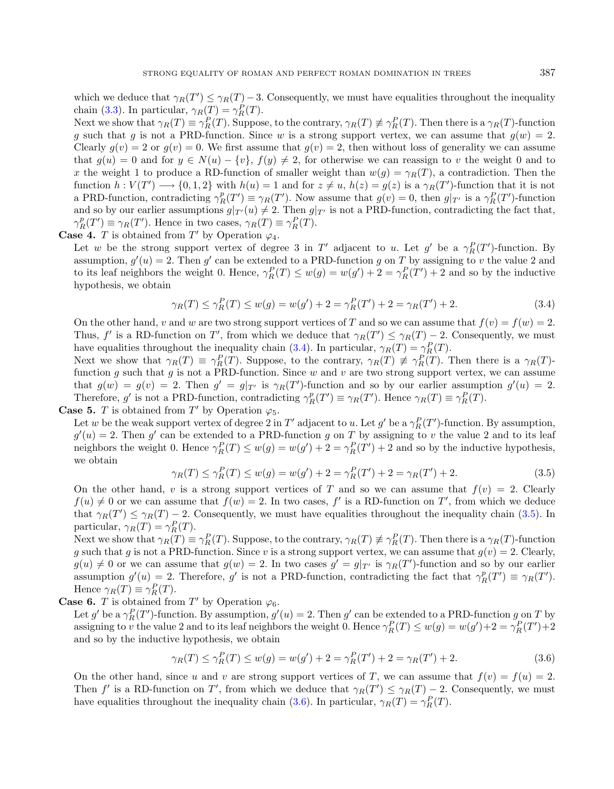which we deduce that  $\gamma_R(T') \leq \gamma_R(T) - 3$ . Consequently, we must have equalities throughout the inequality chain [\(3.3\)](#page-5-2). In particular,  $\gamma_R(T) = \gamma_R^P(T)$ .

<span id="page-6-0"></span>Next we show that  $\gamma_R(T) \equiv \gamma_R^P(T)$ . Suppose, to the contrary,  $\gamma_R(T) \not\equiv \gamma_R^P(T)$ . Then there is a  $\gamma_R(T)$ -function g such that g is not a PRD-function. Since w is a strong support vertex, we can assume that  $g(w) = 2$ . Clearly  $g(v) = 2$  or  $g(v) = 0$ . We first assume that  $g(v) = 2$ , then without loss of generality we can assume that  $g(u) = 0$  and for  $y \in N(u) - \{v\}, f(y) \neq 2$ , for otherwise we can reassign to v the weight 0 and to x the weight 1 to produce a RD-function of smaller weight than  $w(g) = \gamma_R(T)$ , a contradiction. Then the function  $h: V(T') \longrightarrow \{0, 1, 2\}$  with  $h(u) = 1$  and for  $z \neq u$ ,  $h(z) = g(z)$  is a  $\gamma_R(T')$ -function that it is not a PRD-function, contradicting  $\gamma_R^p(T') \equiv \gamma_R(T')$ . Now assume that  $g(v) = 0$ , then  $g|_{T'}$  is a  $\gamma_R^p(T')$ -function and so by our earlier assumptions  $g|_{T'}(u) \neq 2$ . Then  $g|_{T'}$  is not a PRD-function, contradicting the fact that,  $\gamma_R^p(T') \equiv \gamma_R(T')$ . Hence in two cases,  $\gamma_R(T) \equiv \gamma_R^P(T)$ .

**Case 4.** *T* is obtained from  $T'$  by Operation  $\varphi_4$ .

Let w be the strong support vertex of degree 3 in T' adjacent to u. Let  $g'$  be a  $\gamma_R^P(T')$ -function. By assumption,  $g'(u) = 2$ . Then g' can be extended to a PRD-function g on T by assigning to v the value 2 and to its leaf neighbors the weight 0. Hence,  $\gamma_R^P(T) \leq w(g) = w(g') + 2 = \gamma_R^P(T') + 2$  and so by the inductive hypothesis, we obtain

$$
\gamma_R(T) \le \gamma_R^P(T) \le w(g) = w(g') + 2 = \gamma_R^P(T') + 2 = \gamma_R(T') + 2. \tag{3.4}
$$

<span id="page-6-1"></span>On the other hand, v and w are two strong support vertices of T and so we can assume that  $f(v) = f(w) = 2$ . Thus, f' is a RD-function on T', from which we deduce that  $\gamma_R(T') \leq \gamma_R(T) - 2$ . Consequently, we must have equalities throughout the inequality chain [\(3.4\)](#page-6-0). In particular,  $\gamma_R(T) = \gamma_R^P(T)$ .

Next we show that  $\gamma_R(T) \equiv \gamma_R^P(T)$ . Suppose, to the contrary,  $\gamma_R(T) \not\equiv \gamma_R^P(T)$ . Then there is a  $\gamma_R(T)$ function g such that g is not a PRD-function. Since  $w$  and  $v$  are two strong support vertex, we can assume that  $g(w) = g(v) = 2$ . Then  $g' = g|_{T'}$  is  $\gamma_R(T')$ -function and so by our earlier assumption  $g'(u) = 2$ . Therefore, g' is not a PRD-function, contradicting  $\gamma_R^p(T') \equiv \gamma_R(T')$ . Hence  $\gamma_R(T) \equiv \gamma_R^P(T)$ .

**Case 5.** *T* is obtained from  $T'$  by Operation  $\varphi_5$ .

Let w be the weak support vertex of degree 2 in T' adjacent to u. Let  $g'$  be a  $\gamma_R^P(T')$ -function. By assumption,  $g'(u) = 2$ . Then g' can be extended to a PRD-function g on T by assigning to v the value 2 and to its leaf neighbors the weight 0. Hence  $\gamma_R^P(T) \leq w(g) = w(g') + 2 = \gamma_R^P(T') + 2$  and so by the inductive hypothesis, we obtain

<span id="page-6-2"></span>
$$
\gamma_R(T) \le \gamma_R^P(T) \le w(g) = w(g') + 2 = \gamma_R^P(T') + 2 = \gamma_R(T') + 2. \tag{3.5}
$$

On the other hand, v is a strong support vertices of T and so we can assume that  $f(v) = 2$ . Clearly  $f(u) \neq 0$  or we can assume that  $f(w) = 2$ . In two cases,  $f'$  is a RD-function on T', from which we deduce that  $\gamma_R(T') \leq \gamma_R(T) - 2$ . Consequently, we must have equalities throughout the inequality chain [\(3.5\)](#page-6-1). In particular,  $\gamma_R(T) = \gamma_R^P(T)$ .

Next we show that  $\gamma_R(T) \equiv \gamma_R^P(T)$ . Suppose, to the contrary,  $\gamma_R(T) \not\equiv \gamma_R^P(T)$ . Then there is a  $\gamma_R(T)$ -function g such that g is not a PRD-function. Since v is a strong support vertex, we can assume that  $q(v) = 2$ . Clearly,  $g(u) \neq 0$  or we can assume that  $g(w) = 2$ . In two cases  $g' = g|_{T'}$  is  $\gamma_R(T')$ -function and so by our earlier assumption  $g'(u) = 2$ . Therefore, g' is not a PRD-function, contradicting the fact that  $\gamma_R^p(T') \equiv \gamma_R(T')$ . Hence  $\gamma_R(T) \equiv \gamma_R^P(T)$ .

**Case 6.** *T* is obtained from  $T'$  by Operation  $\varphi_6$ .

Let g' be a  $\gamma_R^P(T')$ -function. By assumption,  $g'(u) = 2$ . Then g' can be extended to a PRD-function  $g \text{ on } T$  by assigning to v the value 2 and to its leaf neighbors the weight 0. Hence  $\gamma_R^P(T) \leq w(g) = w(g') + 2 = \gamma_R^P(T') + 2$ and so by the inductive hypothesis, we obtain

$$
\gamma_R(T) \le \gamma_R^P(T) \le w(g) = w(g') + 2 = \gamma_R^P(T') + 2 = \gamma_R(T') + 2. \tag{3.6}
$$

On the other hand, since u and v are strong support vertices of T, we can assume that  $f(v) = f(u) = 2$ . Then f' is a RD-function on T', from which we deduce that  $\gamma_R(T') \leq \gamma_R(T) - 2$ . Consequently, we must have equalities throughout the inequality chain [\(3.6\)](#page-6-2). In particular,  $\gamma_R(T) = \gamma_R^P(T)$ .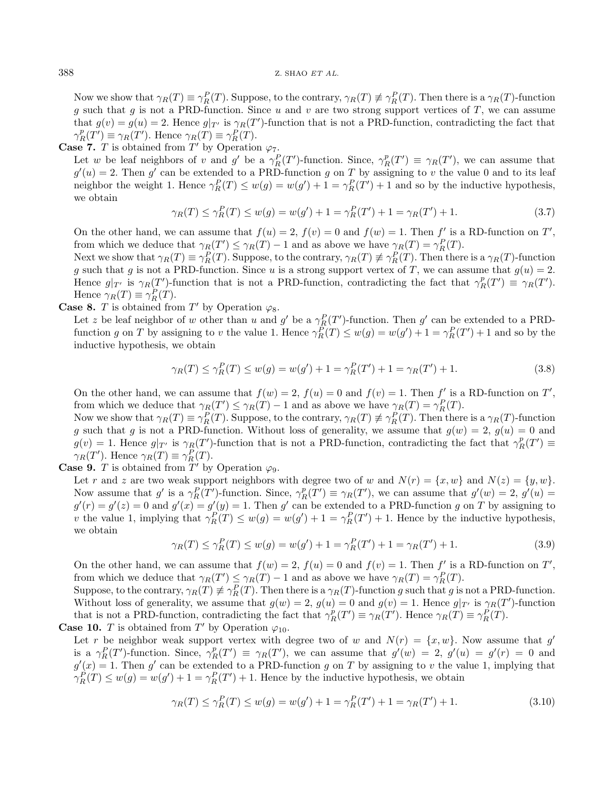Now we show that  $\gamma_R(T) \equiv \gamma_R^P(T)$ . Suppose, to the contrary,  $\gamma_R(T) \not\equiv \gamma_R^P(T)$ . Then there is a  $\gamma_R(T)$ -function g such that g is not a PRD-function. Since u and v are two strong support vertices of T, we can assume that  $g(v) = g(u) = 2$ . Hence  $g|_{T'}$  is  $\gamma_R(T')$ -function that is not a PRD-function, contradicting the fact that  $\gamma_R^p(T') \equiv \gamma_R(T')$ . Hence  $\gamma_R(T) \equiv \gamma_R^P(T)$ .

**Case 7.** *T* is obtained from  $T'$  by Operation  $\varphi_7$ .

Let w be leaf neighbors of v and g' be a  $\gamma_R^P(T')$ -function. Since,  $\gamma_R^p(T') \equiv \gamma_R(T')$ , we can assume that  $g'(u) = 2$ . Then g' can be extended to a PRD-function g on T by assigning to v the value 0 and to its leaf neighbor the weight 1. Hence  $\gamma_R^P(T) \leq w(g) = w(g') + 1 = \gamma_R^P(T') + 1$  and so by the inductive hypothesis, we obtain

$$
\gamma_R(T) \le \gamma_R^P(T) \le w(g) = w(g') + 1 = \gamma_R^P(T') + 1 = \gamma_R(T') + 1. \tag{3.7}
$$

On the other hand, we can assume that  $f(u) = 2$ ,  $f(v) = 0$  and  $f(w) = 1$ . Then f' is a RD-function on T', from which we deduce that  $\gamma_R(T') \leq \gamma_R(T) - 1$  and as above we have  $\gamma_R(T) = \gamma_R^P(T)$ .

Next we show that  $\gamma_R(T) \equiv \gamma_R^P(T)$ . Suppose, to the contrary,  $\gamma_R(T) \not\equiv \gamma_R^P(T)$ . Then there is a  $\gamma_R(T)$ -function g such that g is not a PRD-function. Since u is a strong support vertex of T, we can assume that  $g(u) = 2$ . Hence  $g|_{T'}$  is  $\gamma_R(T')$ -function that is not a PRD-function, contradicting the fact that  $\gamma_R^p(T') \equiv \gamma_R(T')$ . Hence  $\gamma_R(T) \equiv \gamma_R^P(T)$ .

**Case 8.** *T* is obtained from  $T'$  by Operation  $\varphi_8$ .

Let z be leaf neighbor of w other than u and g' be a  $\gamma_R^P(T')$ -function. Then g' can be extended to a PRDfunction g on T by assigning to v the value 1. Hence  $\gamma_R^P(T) \leq w(g) = w(g') + 1 = \gamma_R^P(T') + 1$  and so by the inductive hypothesis, we obtain

$$
\gamma_R(T) \le \gamma_R^P(T) \le w(g) = w(g') + 1 = \gamma_R^P(T') + 1 = \gamma_R(T') + 1. \tag{3.8}
$$

On the other hand, we can assume that  $f(w) = 2$ ,  $f(u) = 0$  and  $f(v) = 1$ . Then f' is a RD-function on T', from which we deduce that  $\gamma_R(T') \leq \gamma_R(T) - 1$  and as above we have  $\gamma_R(T) = \gamma_R^P(T)$ .

Now we show that  $\gamma_R(T) \equiv \gamma_R^P(T)$ . Suppose, to the contrary,  $\gamma_R(T) \not\equiv \gamma_R^P(T)$ . Then there is a  $\gamma_R(T)$ -function g such that g is not a PRD-function. Without loss of generality, we assume that  $g(w) = 2$ ,  $g(u) = 0$  and  $g(v) = 1$ . Hence  $g|_{T'}$  is  $\gamma_R(T')$ -function that is not a PRD-function, contradicting the fact that  $\gamma_R^p(T') \equiv$  $\gamma_R(T')$ . Hence  $\gamma_R(T) \equiv \gamma_R^P(T)$ .

**Case 9.** *T* is obtained from  $T'$  by Operation  $\varphi_9$ .

Let r and z are two weak support neighbors with degree two of w and  $N(r) = \{x, w\}$  and  $N(z) = \{y, w\}.$ Now assume that g' is a  $\gamma_R^P(T')$ -function. Since,  $\gamma_R^P(T') \equiv \gamma_R(T')$ , we can assume that  $g'(w) = 2$ ,  $g'(u) =$  $g'(r) = g'(z) = 0$  and  $g'(x) = g'(y) = 1$ . Then g' can be extended to a PRD-function g on T by assigning to v the value 1, implying that  $\gamma_R^P(T) \leq w(g) = w(g') + 1 = \gamma_R^P(T') + 1$ . Hence by the inductive hypothesis, we obtain

<span id="page-7-0"></span>
$$
\gamma_R(T) \le \gamma_R^P(T) \le w(g) = w(g') + 1 = \gamma_R^P(T') + 1 = \gamma_R(T') + 1. \tag{3.9}
$$

On the other hand, we can assume that  $f(w) = 2$ ,  $f(u) = 0$  and  $f(v) = 1$ . Then f' is a RD-function on T', from which we deduce that  $\gamma_R(T') \leq \gamma_R(T) - 1$  and as above we have  $\gamma_R(T) = \gamma_R^P(T)$ .

Suppose, to the contrary,  $\gamma_R(T) \neq \gamma_R^P(T)$ . Then there is a  $\gamma_R(T)$ -function g such that g is not a PRD-function. Without loss of generality, we assume that  $g(w) = 2$ ,  $g(u) = 0$  and  $g(v) = 1$ . Hence  $g|_{T'}$  is  $\gamma_R(T')$ -function that is not a PRD-function, contradicting the fact that  $\gamma_R^p(T') \equiv \gamma_R(T')$ . Hence  $\gamma_R(T) \equiv \gamma_R^P(T)$ .

## **Case 10.** *T* is obtained from  $T'$  by Operation  $\varphi_{10}$ .

Let r be neighbor weak support vertex with degree two of w and  $N(r) = \{x, w\}$ . Now assume that g' is a  $\gamma_R^P(T')$ -function. Since,  $\gamma_R^P(T') \equiv \gamma_R(T')$ , we can assume that  $g'(w) = 2$ ,  $g'(u) = g'(r) = 0$  and  $g'(x) = 1$ . Then g' can be extended to a PRD-function g on T by assigning to v the value 1, implying that  $\gamma_R^P(T) \leq w(g) = w(g') + 1 = \gamma_R^P(T') + 1$ . Hence by the inductive hypothesis, we obtain

$$
\gamma_R(T) \le \gamma_R^P(T) \le w(g) = w(g') + 1 = \gamma_R^P(T') + 1 = \gamma_R(T') + 1. \tag{3.10}
$$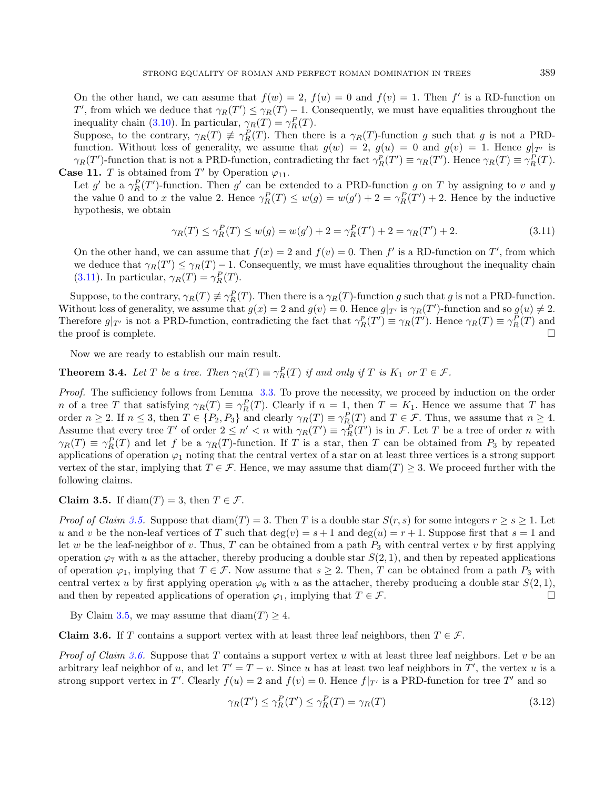<span id="page-8-0"></span>On the other hand, we can assume that  $f(w) = 2$ ,  $f(u) = 0$  and  $f(v) = 1$ . Then f' is a RD-function on T', from which we deduce that  $\gamma_R(T') \leq \gamma_R(T) - 1$ . Consequently, we must have equalities throughout the inequality chain [\(3.10\)](#page-7-0). In particular,  $\gamma_R(T) = \gamma_R^P(T)$ .

Suppose, to the contrary,  $\gamma_R(T) \neq \gamma_R^P(T)$ . Then there is a  $\gamma_R(T)$ -function g such that g is not a PRDfunction. Without loss of generality, we assume that  $g(w) = 2$ ,  $g(u) = 0$  and  $g(v) = 1$ . Hence  $g|_{T'}$  is  $\gamma_R(T')$ -function that is not a PRD-function, contradicting thr fact  $\gamma_R^p(T') \equiv \gamma_R(T')$ . Hence  $\gamma_R(T) \equiv \gamma_R^P(T)$ . **Case 11.** *T* is obtained from  $T'$  by Operation  $\varphi_{11}$ .

Let g' be a  $\gamma_R^P(T')$ -function. Then g' can be extended to a PRD-function g on T by assigning to v and y the value 0 and to x the value 2. Hence  $\gamma_R^P(T) \leq w(g) = w(g') + 2 = \gamma_R^P(T') + 2$ . Hence by the inductive hypothesis, we obtain

$$
\gamma_R(T) \le \gamma_R^P(T) \le w(g) = w(g') + 2 = \gamma_R^P(T') + 2 = \gamma_R(T') + 2. \tag{3.11}
$$

On the other hand, we can assume that  $f(x) = 2$  and  $f(v) = 0$ . Then f' is a RD-function on T', from which we deduce that  $\gamma_R(T') \leq \gamma_R(T) - 1$ . Consequently, we must have equalities throughout the inequality chain [\(3.11\)](#page-8-0). In particular,  $\gamma_R(T) = \gamma_R^P(T)$ .

Suppose, to the contrary,  $\gamma_R(T) \neq \gamma_R^P(T)$ . Then there is a  $\gamma_R(T)$ -function g such that g is not a PRD-function. Without loss of generality, we assume that  $g(x) = 2$  and  $g(v) = 0$ . Hence  $g|_{T'}$  is  $\gamma_R(T')$ -function and so  $g(u) \neq 2$ . Therefore  $g|_{T'}$  is not a PRD-function, contradicting the fact that  $\gamma_R^p(T') \equiv \gamma_R(T')$ . Hence  $\gamma_R(T) \equiv \gamma_R^P(T)$  and the proof is complete.  $\Box$ 

Now we are ready to establish our main result.

**Theorem 3.4.** Let T be a tree. Then  $\gamma_R(T) \equiv \gamma_R^P(T)$  if and only if T is  $K_1$  or  $T \in \mathcal{F}$ .

Proof. The sufficiency follows from Lemma [3.3.](#page-5-3) To prove the necessity, we proceed by induction on the order n of a tree T that satisfying  $\gamma_R(T) \equiv \gamma_R^P(T)$ . Clearly if  $n = 1$ , then  $T = K_1$ . Hence we assume that T has order  $n \ge 2$ . If  $n \le 3$ , then  $T \in \{P_2, P_3\}$  and clearly  $\gamma_R(T) \equiv \gamma_R^P(T)$  and  $T \in \mathcal{F}$ . Thus, we assume that  $n \ge 4$ . Assume that every tree T' of order  $2 \leq n' < n$  with  $\gamma_R(T') \equiv \gamma_R^P(T')$  is in F. Let T be a tree of order n with  $\gamma_R(T) \equiv \gamma_R^P(T)$  and let f be a  $\gamma_R(T)$ -function. If T is a star, then T can be obtained from  $P_3$  by repeated applications of operation  $\varphi_1$  noting that the central vertex of a star on at least three vertices is a strong support vertex of the star, implying that  $T \in \mathcal{F}$ . Hence, we may assume that  $\text{diam}(T) \geq 3$ . We proceed further with the following claims.

<span id="page-8-1"></span>Claim 3.5. If  $\text{diam}(T) = 3$ , then  $T \in \mathcal{F}$ .

*Proof of Claim [3.5.](#page-8-1)* Suppose that  $\text{diam}(T) = 3$ . Then T is a double star  $S(r, s)$  for some integers  $r \geq s \geq 1$ . Let u and v be the non-leaf vertices of T such that  $\deg(v) = s + 1$  and  $\deg(u) = r + 1$ . Suppose first that  $s = 1$  and let w be the leaf-neighbor of v. Thus, T can be obtained from a path  $P_3$  with central vertex v by first applying operation  $\varphi_7$  with u as the attacher, thereby producing a double star  $S(2, 1)$ , and then by repeated applications of operation  $\varphi_1$ , implying that  $T \in \mathcal{F}$ . Now assume that  $s \geq 2$ . Then, T can be obtained from a path  $P_3$  with central vertex u by first applying operation  $\varphi_6$  with u as the attacher, thereby producing a double star  $S(2, 1)$ , and then by repeated applications of operation  $\varphi_1$ , implying that  $T \in \mathcal{F}$ .

By Claim [3.5,](#page-8-1) we may assume that  $\text{diam}(T) \geq 4$ .

<span id="page-8-2"></span>**Claim 3.6.** If T contains a support vertex with at least three leaf neighbors, then  $T \in \mathcal{F}$ .

*Proof of Claim [3.6.](#page-8-2)* Suppose that T contains a support vertex u with at least three leaf neighbors. Let  $v$  be an arbitrary leaf neighbor of u, and let  $T' = T - v$ . Since u has at least two leaf neighbors in T', the vertex u is a strong support vertex in T'. Clearly  $f(u) = 2$  and  $f(v) = 0$ . Hence  $f|_{T'}$  is a PRD-function for tree T' and so

<span id="page-8-3"></span>
$$
\gamma_R(T') \le \gamma_R^P(T') \le \gamma_R^P(T) = \gamma_R(T) \tag{3.12}
$$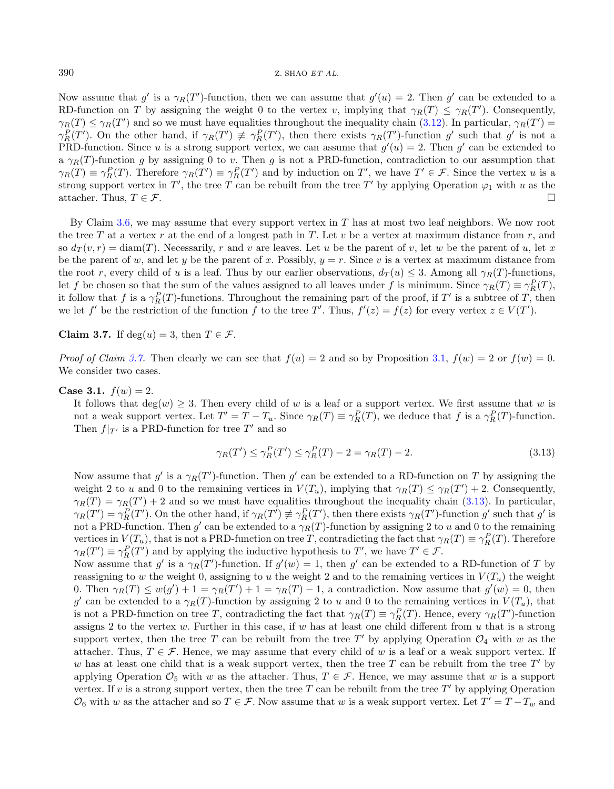Now assume that  $g'$  is a  $\gamma_R(T')$ -function, then we can assume that  $g'(u) = 2$ . Then  $g'$  can be extended to a RD-function on T by assigning the weight 0 to the vertex v, implying that  $\gamma_R(T) \leq \gamma_R(T')$ . Consequently,  $\gamma_R(T) \leq \gamma_R(T')$  and so we must have equalities throughout the inequality chain [\(3.12\)](#page-8-3). In particular,  $\gamma_R(T')$  $\gamma_R^P(T')$ . On the other hand, if  $\gamma_R(T') \neq \gamma_R^P(T')$ , then there exists  $\gamma_R(T')$ -function g' such that g' is not a PRD-function. Since u is a strong support vertex, we can assume that  $g'(u) = 2$ . Then  $g'$  can be extended to a  $\gamma_R(T)$ -function g by assigning 0 to v. Then g is not a PRD-function, contradiction to our assumption that  $\gamma_R(T) \equiv \gamma_R^P(T)$ . Therefore  $\gamma_R(T') \equiv \gamma_R^P(T')$  and by induction on T', we have  $T' \in \mathcal{F}$ . Since the vertex u is a strong support vertex in T', the tree T can be rebuilt from the tree T' by applying Operation  $\varphi_1$  with u as the attacher. Thus,  $T \in \mathcal{F}$ .

By Claim [3.6,](#page-8-2) we may assume that every support vertex in  $T$  has at most two leaf neighbors. We now root the tree T at a vertex r at the end of a longest path in T. Let  $v$  be a vertex at maximum distance from r, and so  $d_T(v, r) = \text{diam}(T)$ . Necessarily, r and v are leaves. Let u be the parent of v, let w be the parent of u, let x be the parent of w, and let y be the parent of x. Possibly,  $y = r$ . Since v is a vertex at maximum distance from the root r, every child of u is a leaf. Thus by our earlier observations,  $d_T(u) \leq 3$ . Among all  $\gamma_R(T)$ -functions, let f be chosen so that the sum of the values assigned to all leaves under f is minimum. Since  $\gamma_R(T) \equiv \gamma_R^P(T)$ , it follow that f is a  $\gamma_R^P(T)$ -functions. Throughout the remaining part of the proof, if T' is a subtree of T, then we let f' be the restriction of the function f to the tree T'. Thus,  $f'(z) = f(z)$  for every vertex  $z \in V(T')$ .

<span id="page-9-0"></span>Claim 3.7. If  $deg(u) = 3$ , then  $T \in \mathcal{F}$ .

*Proof of Claim [3.7.](#page-9-0)* Then clearly we can see that  $f(u) = 2$  and so by Proposition [3.1,](#page-3-0)  $f(w) = 2$  or  $f(w) = 0$ . We consider two cases.

Case 3.1.  $f(w) = 2$ .

It follows that  $deg(w) \geq 3$ . Then every child of w is a leaf or a support vertex. We first assume that w is not a weak support vertex. Let  $T' = T - T_u$ . Since  $\gamma_R(T) \equiv \gamma_R^P(T)$ , we deduce that f is a  $\gamma_R^P(T)$ -function. Then  $f|_{T'}$  is a PRD-function for tree T' and so

<span id="page-9-1"></span>
$$
\gamma_R(T') \le \gamma_R^P(T') \le \gamma_R^P(T) - 2 = \gamma_R(T) - 2. \tag{3.13}
$$

Now assume that  $g'$  is a  $\gamma_R(T')$ -function. Then  $g'$  can be extended to a RD-function on T by assigning the weight 2 to *u* and 0 to the remaining vertices in  $V(T_u)$ , implying that  $\gamma_R(T) \leq \gamma_R(T') + 2$ . Consequently,  $\gamma_R(T) = \gamma_R(T') + 2$  and so we must have equalities throughout the inequality chain [\(3.13\)](#page-9-1). In particular,  $\gamma_R(T') = \gamma_R^P(T')$ . On the other hand, if  $\gamma_R(T') \not\equiv \gamma_R^P(T')$ , then there exists  $\gamma_R(T')$ -function g' such that g' is not a PRD-function. Then  $g'$  can be extended to a  $\gamma_R(T)$ -function by assigning 2 to  $u$  and 0 to the remaining vertices in  $V(T_u)$ , that is not a PRD-function on tree T, contradicting the fact that  $\gamma_R(T) \equiv \gamma_R^P(T)$ . Therefore  $\gamma_R(T') \equiv \gamma_R^P(T')$  and by applying the inductive hypothesis to T', we have  $T' \in \mathcal{F}$ .

Now assume that g' is a  $\gamma_R(T')$ -function. If  $g'(w) = 1$ , then g' can be extended to a RD-function of T by reassigning to w the weight 0, assigning to u the weight 2 and to the remaining vertices in  $V(T_u)$  the weight 0. Then  $\gamma_R(T) \leq w(g') + 1 = \gamma_R(T') + 1 = \gamma_R(T) - 1$ , a contradiction. Now assume that  $g'(w) = 0$ , then g' can be extended to a  $\gamma_R(T)$ -function by assigning 2 to u and 0 to the remaining vertices in  $V(T_u)$ , that is not a PRD-function on tree T, contradicting the fact that  $\gamma_R(T) \equiv \gamma_R^P(T)$ . Hence, every  $\gamma_R(T')$ -function assigns 2 to the vertex  $w$ . Further in this case, if  $w$  has at least one child different from  $u$  that is a strong support vertex, then the tree T can be rebuilt from the tree T' by applying Operation  $\mathcal{O}_4$  with w as the attacher. Thus,  $T \in \mathcal{F}$ . Hence, we may assume that every child of w is a leaf or a weak support vertex. If w has at least one child that is a weak support vertex, then the tree  $T$  can be rebuilt from the tree  $T'$  by applying Operation  $\mathcal{O}_5$  with w as the attacher. Thus,  $T \in \mathcal{F}$ . Hence, we may assume that w is a support vertex. If  $v$  is a strong support vertex, then the tree  $T$  can be rebuilt from the tree  $T'$  by applying Operation  $\mathcal{O}_6$  with w as the attacher and so  $T \in \mathcal{F}$ . Now assume that w is a weak support vertex. Let  $T' = T - T_w$  and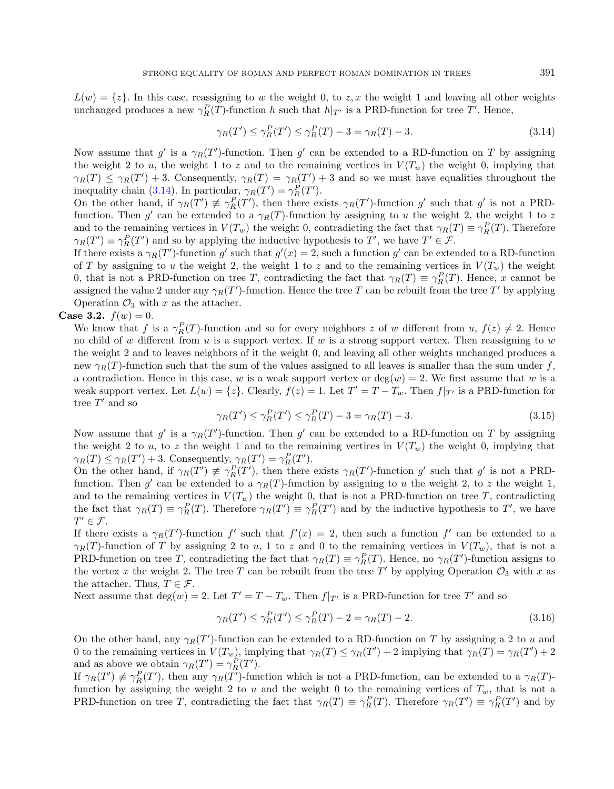$L(w) = \{z\}$ . In this case, reassigning to w the weight 0, to z, x the weight 1 and leaving all other weights unchanged produces a new  $\gamma_R^P(T)$ -function h such that  $h|_{T'}$  is a PRD-function for tree T'. Hence,

<span id="page-10-0"></span>
$$
\gamma_R(T') \le \gamma_R^P(T') \le \gamma_R^P(T) - 3 = \gamma_R(T) - 3. \tag{3.14}
$$

Now assume that  $g'$  is a  $\gamma_R(T')$ -function. Then  $g'$  can be extended to a RD-function on T by assigning the weight 2 to u, the weight 1 to z and to the remaining vertices in  $V(T_w)$  the weight 0, implying that  $\gamma_R(T) \leq \gamma_R(T') + 3$ . Consequently,  $\gamma_R(T) = \gamma_R(T') + 3$  and so we must have equalities throughout the inequality chain [\(3.14\)](#page-10-0). In particular,  $\gamma_R(T') = \gamma_R^P(T')$ .

On the other hand, if  $\gamma_R(T') \not\equiv \gamma_R^P(T')$ , then there exists  $\gamma_R(T')$ -function g' such that g' is not a PRDfunction. Then  $g'$  can be extended to a  $\gamma_R(T)$ -function by assigning to u the weight 2, the weight 1 to z and to the remaining vertices in  $V(T_w)$  the weight 0, contradicting the fact that  $\gamma_R(T) \equiv \gamma_R^P(T)$ . Therefore  $\gamma_R(T') \equiv \gamma_R^P(T')$  and so by applying the inductive hypothesis to T', we have  $T' \in \mathcal{F}$ .

If there exists a  $\gamma_R(T')$ -function g' such that  $g'(x) = 2$ , such a function g' can be extended to a RD-function of T by assigning to u the weight 2, the weight 1 to z and to the remaining vertices in  $V(T_w)$  the weight 0, that is not a PRD-function on tree T, contradicting the fact that  $\gamma_R(T) \equiv \gamma_R^P(T)$ . Hence, x cannot be assigned the value 2 under any  $\gamma_R(T')$ -function. Hence the tree T can be rebuilt from the tree T' by applying Operation  $\mathcal{O}_3$  with x as the attacher.

**Case 3.2.**  $f(w) = 0$ .

We know that f is a  $\gamma_R^P(T)$ -function and so for every neighbors z of w different from  $u, f(z) \neq 2$ . Hence no child of  $w$  different from  $u$  is a support vertex. If  $w$  is a strong support vertex. Then reassigning to  $w$ the weight 2 and to leaves neighbors of it the weight 0, and leaving all other weights unchanged produces a new  $\gamma_B(T)$ -function such that the sum of the values assigned to all leaves is smaller than the sum under f, a contradiction. Hence in this case, w is a weak support vertex or  $deg(w) = 2$ . We first assume that w is a weak support vertex. Let  $L(w) = \{z\}$ . Clearly,  $f(z) = 1$ . Let  $T' = T - T_w$ . Then  $f|_{T'}$  is a PRD-function for tree  $T'$  and so

$$
\gamma_R(T') \le \gamma_R^P(T') \le \gamma_R^P(T) - 3 = \gamma_R(T) - 3. \tag{3.15}
$$

Now assume that  $g'$  is a  $\gamma_R(T')$ -function. Then  $g'$  can be extended to a RD-function on T by assigning the weight 2 to u, to z the weight 1 and to the remaining vertices in  $V(T_w)$  the weight 0, implying that  $\gamma_R(T) \leq \gamma_R(T') + 3$ . Consequently,  $\gamma_R(T') = \gamma_R^P(T')$ .

On the other hand, if  $\gamma_R(T') \not\equiv \gamma_R^P(T')$ , then there exists  $\gamma_R(T')$ -function g' such that g' is not a PRDfunction. Then  $g'$  can be extended to a  $\gamma_R(T)$ -function by assigning to u the weight 2, to z the weight 1, and to the remaining vertices in  $V(T_w)$  the weight 0, that is not a PRD-function on tree T, contradicting the fact that  $\gamma_R(T) \equiv \gamma_R^P(T)$ . Therefore  $\gamma_R(T') \equiv \gamma_R^P(T')$  and by the inductive hypothesis to T', we have  $T' \in \mathcal{F}$ .

If there exists a  $\gamma_R(T')$ -function f' such that  $f'(x) = 2$ , then such a function f' can be extended to a  $\gamma_R(T)$ -function of T by assigning 2 to u, 1 to z and 0 to the remaining vertices in  $V(T_w)$ , that is not a PRD-function on tree T, contradicting the fact that  $\gamma_R(T) \equiv \gamma_R^P(T)$ . Hence, no  $\gamma_R(T')$ -function assigns to the vertex x the weight 2. The tree T can be rebuilt from the tree T' by applying Operation  $\mathcal{O}_3$  with x as the attacher. Thus,  $T \in \mathcal{F}$ .

Next assume that  $deg(w) = 2$ . Let  $T' = T - T_w$ . Then  $f|_{T'}$  is a PRD-function for tree T' and so

$$
\gamma_R(T') \le \gamma_R^P(T') \le \gamma_R^P(T) - 2 = \gamma_R(T) - 2. \tag{3.16}
$$

On the other hand, any  $\gamma_R(T')$ -function can be extended to a RD-function on T by assigning a 2 to u and 0 to the remaining vertices in  $V(T_w)$ , implying that  $\gamma_R(T) \leq \gamma_R(T') + 2$  implying that  $\gamma_R(T) = \gamma_R(T') + 2$ and as above we obtain  $\gamma_R(T') = \gamma_R^P(T')$ .

If  $\gamma_R(T') \neq \gamma_R^P(T')$ , then any  $\gamma_R(T')$ -function which is not a PRD-function, can be extended to a  $\gamma_R(T)$ function by assigning the weight 2 to u and the weight 0 to the remaining vertices of  $T_w$ , that is not a PRD-function on tree T, contradicting the fact that  $\gamma_R(T) \equiv \gamma_R^P(T)$ . Therefore  $\gamma_R(T') \equiv \gamma_R^P(T')$  and by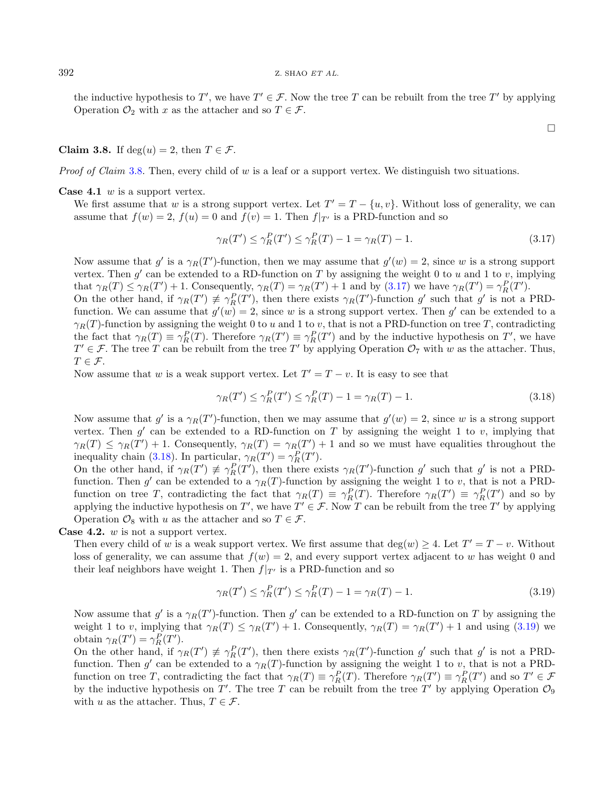the inductive hypothesis to T', we have  $T' \in \mathcal{F}$ . Now the tree T can be rebuilt from the tree T' by applying Operation  $\mathcal{O}_2$  with x as the attacher and so  $T \in \mathcal{F}$ .

## <span id="page-11-0"></span>Claim 3.8. If  $deg(u) = 2$ , then  $T \in \mathcal{F}$ .

*Proof of Claim* [3.8.](#page-11-0) Then, every child of  $w$  is a leaf or a support vertex. We distinguish two situations.

**Case 4.1**  $w$  is a support vertex.

We first assume that w is a strong support vertex. Let  $T' = T - \{u, v\}$ . Without loss of generality, we can assume that  $f(w) = 2$ ,  $f(u) = 0$  and  $f(v) = 1$ . Then  $f|_{T'}$  is a PRD-function and so

$$
\gamma_R(T') \le \gamma_R^P(T') \le \gamma_R^P(T) - 1 = \gamma_R(T) - 1. \tag{3.17}
$$

<span id="page-11-2"></span><span id="page-11-1"></span> $\Box$ 

Now assume that  $g'$  is a  $\gamma_R(T')$ -function, then we may assume that  $g'(w) = 2$ , since w is a strong support vertex. Then  $g'$  can be extended to a RD-function on T by assigning the weight 0 to  $u$  and 1 to  $v$ , implying that  $\gamma_R(T) \leq \gamma_R(T') + 1$ . Consequently,  $\gamma_R(T) = \gamma_R(T') + 1$  and by [\(3.17\)](#page-11-1) we have  $\gamma_R(T') = \gamma_R^P(T')$ .

On the other hand, if  $\gamma_R(T') \not\equiv \gamma_R^P(T')$ , then there exists  $\gamma_R(T')$ -function g' such that g' is not a PRDfunction. We can assume that  $g'(w) = 2$ , since w is a strong support vertex. Then  $g'$  can be extended to a  $\gamma_R(T)$ -function by assigning the weight 0 to u and 1 to v, that is not a PRD-function on tree T, contradicting the fact that  $\gamma_R(T) \equiv \gamma_R^P(T)$ . Therefore  $\gamma_R(T') \equiv \gamma_R^P(T')$  and by the inductive hypothesis on T', we have  $T' \in \mathcal{F}$ . The tree T can be rebuilt from the tree T' by applying Operation  $\mathcal{O}_7$  with w as the attacher. Thus,  $T \in \mathcal{F}$ .

Now assume that w is a weak support vertex. Let  $T' = T - v$ . It is easy to see that

<span id="page-11-3"></span>
$$
\gamma_R(T') \le \gamma_R^P(T') \le \gamma_R^P(T) - 1 = \gamma_R(T) - 1. \tag{3.18}
$$

Now assume that  $g'$  is a  $\gamma_R(T')$ -function, then we may assume that  $g'(w) = 2$ , since w is a strong support vertex. Then  $g'$  can be extended to a RD-function on T by assigning the weight 1 to v, implying that  $\gamma_R(T) \leq \gamma_R(T') + 1$ . Consequently,  $\gamma_R(T) = \gamma_R(T') + 1$  and so we must have equalities throughout the inequality chain [\(3.18\)](#page-11-2). In particular,  $\gamma_R(T') = \gamma_R^P(T')$ .

On the other hand, if  $\gamma_R(T') \not\equiv \gamma_R^P(T')$ , then there exists  $\gamma_R(T')$ -function g' such that g' is not a PRDfunction. Then  $g'$  can be extended to a  $\gamma_R(T)$ -function by assigning the weight 1 to v, that is not a PRDfunction on tree T, contradicting the fact that  $\gamma_R(T) \equiv \gamma_R^P(T)$ . Therefore  $\gamma_R(T') \equiv \gamma_R^P(T')$  and so by applying the inductive hypothesis on T', we have  $T' \in \mathcal{F}$ . Now T can be rebuilt from the tree T' by applying Operation  $\mathcal{O}_8$  with  $u$  as the attacher and so  $T \in \mathcal{F}$ .

**Case 4.2.**  $w$  is not a support vertex.

Then every child of w is a weak support vertex. We first assume that  $deg(w) \geq 4$ . Let  $T' = T - v$ . Without loss of generality, we can assume that  $f(w) = 2$ , and every support vertex adjacent to w has weight 0 and their leaf neighbors have weight 1. Then  $f|_{T'}$  is a PRD-function and so

$$
\gamma_R(T') \le \gamma_R^P(T') \le \gamma_R^P(T) - 1 = \gamma_R(T) - 1. \tag{3.19}
$$

Now assume that  $g'$  is a  $\gamma_R(T')$ -function. Then  $g'$  can be extended to a RD-function on T by assigning the weight 1 to v, implying that  $\gamma_R(T) \leq \gamma_R(T') + 1$ . Consequently,  $\gamma_R(T) = \gamma_R(T') + 1$  and using [\(3.19\)](#page-11-3) we obtain  $\gamma_R(T') = \gamma_R^P(T')$ .

On the other hand, if  $\gamma_R(T') \not\equiv \gamma_R^P(T')$ , then there exists  $\gamma_R(T')$ -function g' such that g' is not a PRDfunction. Then  $g'$  can be extended to a  $\gamma_R(T)$ -function by assigning the weight 1 to v, that is not a PRDfunction on tree T, contradicting the fact that  $\gamma_R(T) \equiv \gamma_R^P(T)$ . Therefore  $\gamma_R(T') \equiv \gamma_R^P(T')$  and so  $T' \in \mathcal{F}$ by the inductive hypothesis on  $T'$ . The tree T can be rebuilt from the tree T' by applying Operation  $\mathcal{O}_9$ with u as the attacher. Thus,  $T \in \mathcal{F}$ .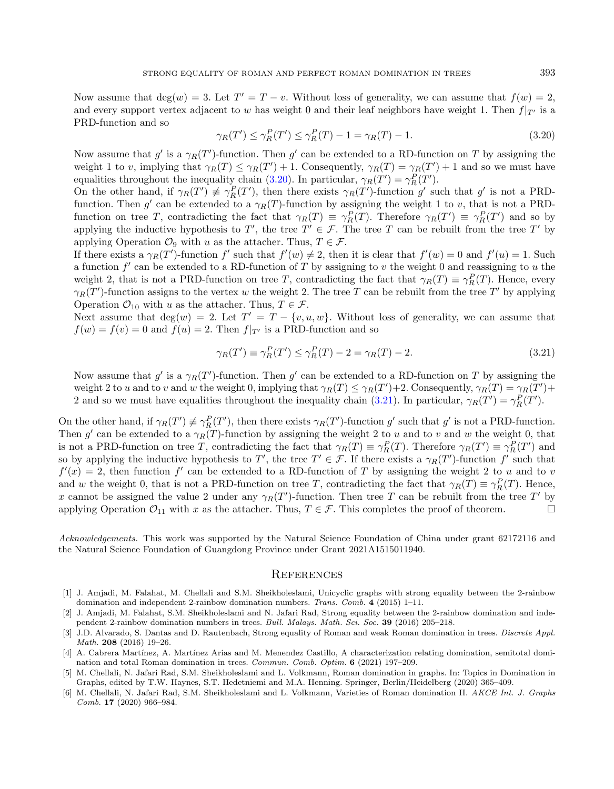<span id="page-12-3"></span>Now assume that  $deg(w) = 3$ . Let  $T' = T - v$ . Without loss of generality, we can assume that  $f(w) = 2$ , and every support vertex adjacent to w has weight 0 and their leaf neighbors have weight 1. Then  $f|_{T'}$  is a PRD-function and so

<span id="page-12-4"></span>
$$
\gamma_R(T') \le \gamma_R^P(T') \le \gamma_R^P(T) - 1 = \gamma_R(T) - 1. \tag{3.20}
$$

Now assume that  $g'$  is a  $\gamma_R(T')$ -function. Then  $g'$  can be extended to a RD-function on T by assigning the weight 1 to v, implying that  $\gamma_R(T) \leq \gamma_R(T') + 1$ . Consequently,  $\gamma_R(T) = \gamma_R(T') + 1$  and so we must have equalities throughout the inequality chain [\(3.20\)](#page-12-3). In particular,  $\gamma_R(T') = \gamma_R^P(T')$ .

On the other hand, if  $\gamma_R(T') \not\equiv \gamma_R^P(T')$ , then there exists  $\gamma_R(T')$ -function g' such that g' is not a PRDfunction. Then  $g'$  can be extended to a  $\gamma_R(T)$ -function by assigning the weight 1 to v, that is not a PRDfunction on tree T, contradicting the fact that  $\gamma_R(T) \equiv \gamma_R^P(T)$ . Therefore  $\gamma_R(T') \equiv \gamma_R^P(T')$  and so by applying the inductive hypothesis to T', the tree  $T' \in \mathcal{F}$ . The tree T can be rebuilt from the tree T' by applying Operation  $\mathcal{O}_9$  with u as the attacher. Thus,  $T \in \mathcal{F}$ .

If there exists a  $\gamma_R(T')$ -function f' such that  $f'(w) \neq 2$ , then it is clear that  $f'(w) = 0$  and  $f'(u) = 1$ . Such a function  $f'$  can be extended to a RD-function of T by assigning to  $v$  the weight 0 and reassigning to  $u$  the weight 2, that is not a PRD-function on tree T, contradicting the fact that  $\gamma_R(T) \equiv \gamma_R^P(T)$ . Hence, every  $\gamma_R(T')$ -function assigns to the vertex w the weight 2. The tree T can be rebuilt from the tree T' by applying Operation  $\mathcal{O}_{10}$  with u as the attacher. Thus,  $T \in \mathcal{F}$ .

Next assume that  $deg(w) = 2$ . Let  $T' = T - \{v, u, w\}$ . Without loss of generality, we can assume that  $f(w) = f(v) = 0$  and  $f(u) = 2$ . Then  $f|_{T'}$  is a PRD-function and so

$$
\gamma_R(T') \equiv \gamma_R^P(T') \le \gamma_R^P(T) - 2 = \gamma_R(T) - 2. \tag{3.21}
$$

Now assume that  $g'$  is a  $\gamma_R(T')$ -function. Then  $g'$  can be extended to a RD-function on T by assigning the weight 2 to *u* and to *v* and *w* the weight 0, implying that  $\gamma_R(T) \leq \gamma_R(T') + 2$ . Consequently,  $\gamma_R(T) = \gamma_R(T') + 2$ 2 and so we must have equalities throughout the inequality chain [\(3.21\)](#page-12-4). In particular,  $\gamma_R(T') = \gamma_R^P(T')$ .

<span id="page-12-1"></span>On the other hand, if  $\gamma_R(T') \neq \gamma_R^P(T')$ , then there exists  $\gamma_R(T')$ -function g' such that g' is not a PRD-function. Then g' can be extended to a  $\gamma_R(T)$ -function by assigning the weight 2 to u and to v and w the weight 0, that is not a PRD-function on tree T, contradicting the fact that  $\gamma_R(T) \equiv \gamma_R^P(T)$ . Therefore  $\gamma_R(T') \equiv \gamma_R^P(T')$  and so by applying the inductive hypothesis to T', the tree  $T' \in \mathcal{F}$ . If there exists a  $\gamma_R(T')$ -function f' such that  $f'(x) = 2$ , then function f' can be extended to a RD-function of T by assigning the weight 2 to u and to v and w the weight 0, that is not a PRD-function on tree T, contradicting the fact that  $\gamma_R(T) \equiv \gamma_R^P(T)$ . Hence, x cannot be assigned the value 2 under any  $\gamma_R(T')$ -function. Then tree T can be rebuilt from the tree T' by applying Operation  $\mathcal{O}_{11}$  with x as the attacher. Thus,  $T \in \mathcal{F}$ . This completes the proof of theorem.

<span id="page-12-2"></span><span id="page-12-0"></span>Acknowledgements. This work was supported by the Natural Science Foundation of China under grant 62172116 and the Natural Science Foundation of Guangdong Province under Grant 2021A1515011940.

#### **REFERENCES**

- [1] J. Amjadi, M. Falahat, M. Chellali and S.M. Sheikholeslami, Unicyclic graphs with strong equality between the 2-rainbow domination and independent 2-rainbow domination numbers. Trans. Comb. 4 (2015) 1–11.
- [2] J. Amjadi, M. Falahat, S.M. Sheikholeslami and N. Jafari Rad, Strong equality between the 2-rainbow domination and independent 2-rainbow domination numbers in trees. Bull. Malays. Math. Sci. Soc. 39 (2016) 205–218.
- [3] J.D. Alvarado, S. Dantas and D. Rautenbach, Strong equality of Roman and weak Roman domination in trees. Discrete Appl. Math. 208 (2016) 19–26.
- [4] A. Cabrera Martínez, A. Martínez Arias and M. Menendez Castillo, A characterization relating domination, semitotal domination and total Roman domination in trees. Commun. Comb. Optim. 6 (2021) 197–209.
- [5] M. Chellali, N. Jafari Rad, S.M. Sheikholeslami and L. Volkmann, Roman domination in graphs. In: Topics in Domination in Graphs, edited by T.W. Haynes, S.T. Hedetniemi and M.A. Henning. Springer, Berlin/Heidelberg (2020) 365–409.
- [6] M. Chellali, N. Jafari Rad, S.M. Sheikholeslami and L. Volkmann, Varieties of Roman domination II. AKCE Int. J. Graphs Comb. 17 (2020) 966–984.